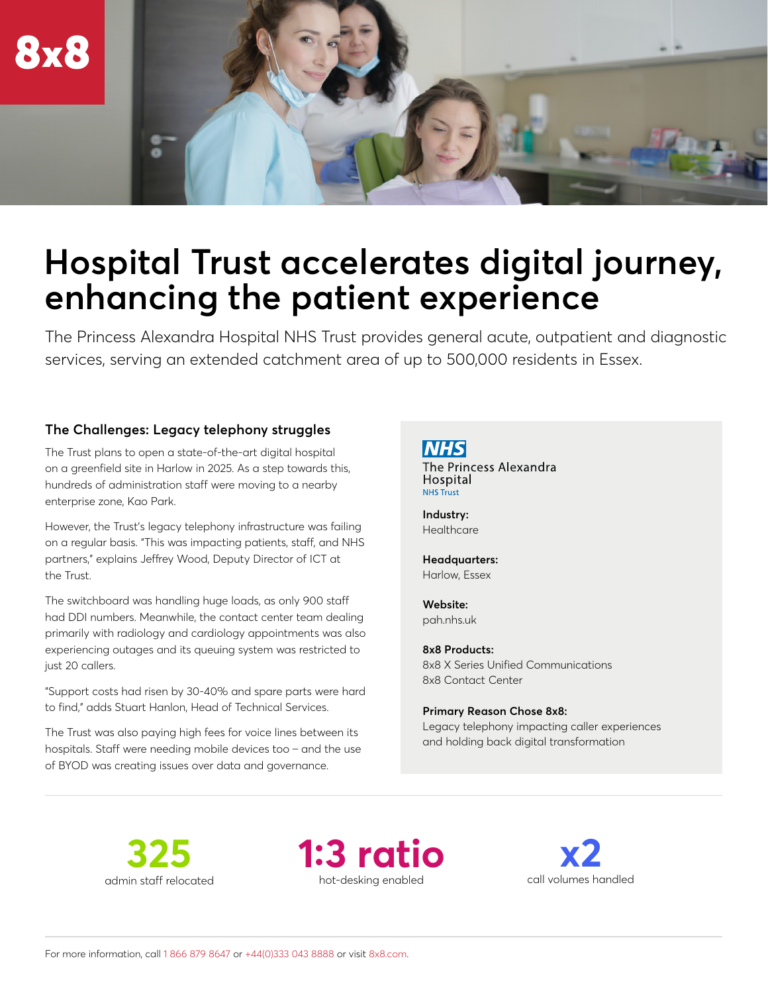

# **Hospital Trust accelerates digital journey, enhancing the patient experience**

The Princess Alexandra Hospital NHS Trust provides general acute, outpatient and diagnostic services, serving an extended catchment area of up to 500,000 residents in Essex.

#### **The Challenges: Legacy telephony struggles**

The Trust plans to open a state-of-the-art digital hospital on a greenfield site in Harlow in 2025. As a step towards this, hundreds of administration staff were moving to a nearby enterprise zone, Kao Park.

However, the Trust's legacy telephony infrastructure was failing on a regular basis. "This was impacting patients, staff, and NHS partners," explains Jeffrey Wood, Deputy Director of ICT at the Trust.

The switchboard was handling huge loads, as only 900 staff had DDI numbers. Meanwhile, the contact center team dealing primarily with radiology and cardiology appointments was also experiencing outages and its queuing system was restricted to just 20 callers.

"Support costs had risen by 30-40% and spare parts were hard to find," adds Stuart Hanlon, Head of Technical Services.

The Trust was also paying high fees for voice lines between its hospitals. Staff were needing mobile devices too – and the use of BYOD was creating issues over data and governance.

**NHS** The Princess Alexandra Hospital **NHS Trust** 

**Industry: Healthcare** 

**Headquarters:** Harlow, Essex

**Website:** [pah.nhs.uk](https://www.pah.nhs.uk/)

**8x8 Products:** 8x8 X Series Unified Communications 8x8 Contact Center

**Primary Reason Chose 8x8:**

Legacy telephony impacting caller experiences and holding back digital transformation

**325**  admin staff relocated